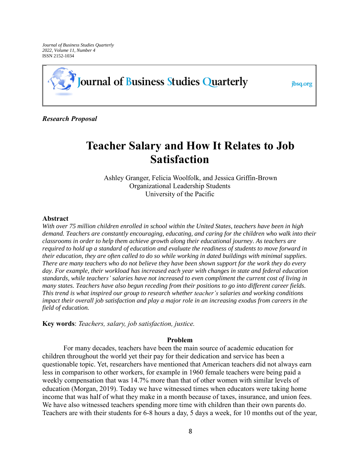*Journal of Business Studies Quarterly 2022, Volume 11, Number 4*  ISSN 2152-1034



jbsq.org

*Research Proposal*

# **Teacher Salary and How It Relates to Job Satisfaction**

Ashley Granger, Felicia Woolfolk, and Jessica Griffin-Brown Organizational Leadership Students University of the Pacific

#### **Abstract**

*With over 75 million children enrolled in school within the United States, teachers have been in high demand. Teachers are constantly encouraging, educating, and caring for the children who walk into their classrooms in order to help them achieve growth along their educational journey. As teachers are required to hold up a standard of education and evaluate the readiness of students to move forward in their education, they are often called to do so while working in dated buildings with minimal supplies. There are many teachers who do not believe they have been shown support for the work they do every day. For example, their workload has increased each year with changes in state and federal education standards, while teachers' salaries have not increased to even compliment the current cost of living in many states. Teachers have also begun receding from their positions to go into different career fields. This trend is what inspired our group to research whether teacher's salaries and working conditions impact their overall job satisfaction and play a major role in an increasing exodus from careers in the field of education.*

**Key words**: *Teachers, salary, job satisfaction, justice.* 

# **Problem**

For many decades, teachers have been the main source of academic education for children throughout the world yet their pay for their dedication and service has been a questionable topic. Yet, researchers have mentioned that American teachers did not always earn less in comparison to other workers, for example in 1960 female teachers were being paid a weekly compensation that was 14.7% more than that of other women with similar levels of education (Morgan, 2019). Today we have witnessed times when educators were taking home income that was half of what they make in a month because of taxes, insurance, and union fees. We have also witnessed teachers spending more time with children than their own parents do. Teachers are with their students for 6-8 hours a day, 5 days a week, for 10 months out of the year,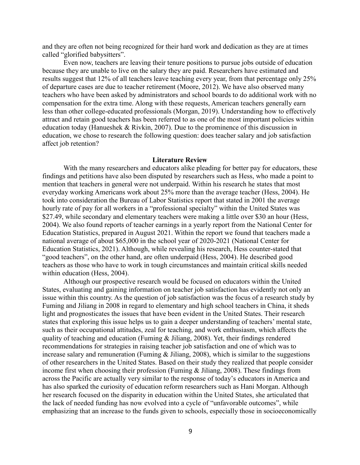and they are often not being recognized for their hard work and dedication as they are at times called "glorified babysitters".

Even now, teachers are leaving their tenure positions to pursue jobs outside of education because they are unable to live on the salary they are paid. Researchers have estimated and results suggest that 12% of all teachers leave teaching every year, from that percentage only 25% of departure cases are due to teacher retirement (Moore, 2012). We have also observed many teachers who have been asked by administrators and school boards to do additional work with no compensation for the extra time. Along with these requests, American teachers generally earn less than other college-educated professionals (Morgan, 2019). Understanding how to effectively attract and retain good teachers has been referred to as one of the most important policies within education today (Hanueshek & Rivkin, 2007). Due to the prominence of this discussion in education, we chose to research the following question: does teacher salary and job satisfaction affect job retention?

#### **Literature Review**

With the many researchers and educators alike pleading for better pay for educators, these findings and petitions have also been disputed by researchers such as Hess, who made a point to mention that teachers in general were not underpaid. Within his research he states that most everyday working Americans work about 25% more than the average teacher (Hess, 2004). He took into consideration the Bureau of Labor Statistics report that stated in 2001 the average hourly rate of pay for all workers in a "professional specialty" within the United States was \$27.49, while secondary and elementary teachers were making a little over \$30 an hour (Hess, 2004). We also found reports of teacher earnings in a yearly report from the National Center for Education Statistics, prepared in August 2021. Within the report we found that teachers made a national average of about \$65,000 in the school year of 2020-2021 (National Center for Education Statistics, 2021). Although, while revealing his research, Hess counter-stated that "good teachers", on the other hand, are often underpaid (Hess, 2004). He described good teachers as those who have to work in tough circumstances and maintain critical skills needed within education (Hess, 2004).

Although our prospective research would be focused on educators within the United States, evaluating and gaining information on teacher job satisfaction has evidently not only an issue within this country. As the question of job satisfaction was the focus of a research study by Fuming and Jiliang in 2008 in regard to elementary and high school teachers in China, it sheds light and prognosticates the issues that have been evident in the United States. Their research states that exploring this issue helps us to gain a deeper understanding of teachers' mental state, such as their occupational attitudes, zeal for teaching, and work enthusiasm, which affects the quality of teaching and education (Fuming & Jiliang, 2008). Yet, their findings rendered recommendations for strategies in raising teacher job satisfaction and one of which was to increase salary and remuneration (Fuming & Jiliang, 2008), which is similar to the suggestions of other researchers in the United States. Based on their study they realized that people consider income first when choosing their profession (Fuming & Jiliang, 2008). These findings from across the Pacific are actually very similar to the response of today's educators in America and has also sparked the curiosity of education reform researchers such as Hani Morgan. Although her research focused on the disparity in education within the United States, she articulated that the lack of needed funding has now evolved into a cycle of "unfavorable outcomes", while emphasizing that an increase to the funds given to schools, especially those in socioeconomically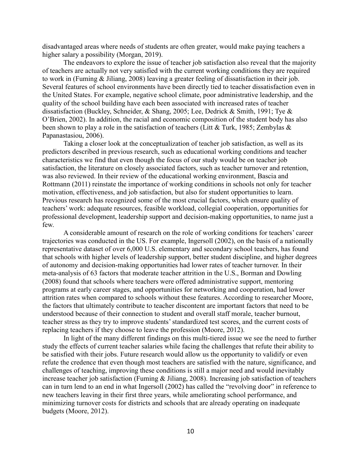disadvantaged areas where needs of students are often greater, would make paying teachers a higher salary a possibility (Morgan, 2019).

The endeavors to explore the issue of teacher job satisfaction also reveal that the majority of teachers are actually not very satisfied with the current working conditions they are required to work in (Fuming & Jiliang, 2008) leaving a greater feeling of dissatisfaction in their job. Several features of school environments have been directly tied to teacher dissatisfaction even in the United States. For example, negative school climate, poor administrative leadership, and the quality of the school building have each been associated with increased rates of teacher dissatisfaction (Buckley, Schneider, & Shang, 2005; Lee, Dedrick & Smith, 1991; Tye & O'Brien, 2002). In addition, the racial and economic composition of the student body has also been shown to play a role in the satisfaction of teachers (Litt & Turk, 1985; Zembylas & Papanastasiou, 2006).

Taking a closer look at the conceptualization of teacher job satisfaction, as well as its predictors described in previous research, such as educational working conditions and teacher characteristics we find that even though the focus of our study would be on teacher job satisfaction, the literature on closely associated factors, such as teacher turnover and retention, was also reviewed. In their review of the educational working environment, Bascia and Rottmann (2011) reinstate the importance of working conditions in schools not only for teacher motivation, effectiveness, and job satisfaction, but also for student opportunities to learn. Previous research has recognized some of the most crucial factors, which ensure quality of teachers' work: adequate resources, feasible workload, collegial cooperation, opportunities for professional development, leadership support and decision-making opportunities, to name just a few.

A considerable amount of research on the role of working conditions for teachers' career trajectories was conducted in the US. For example, Ingersoll (2002), on the basis of a nationally representative dataset of over 6,000 U.S. elementary and secondary school teachers, has found that schools with higher levels of leadership support, better student discipline, and higher degrees of autonomy and decision-making opportunities had lower rates of teacher turnover. In their meta-analysis of 63 factors that moderate teacher attrition in the U.S., Borman and Dowling (2008) found that schools where teachers were offered administrative support, mentoring programs at early career stages, and opportunities for networking and cooperation, had lower attrition rates when compared to schools without these features. According to researcher Moore, the factors that ultimately contribute to teacher discontent are important factors that need to be understood because of their connection to student and overall staff morale, teacher burnout, teacher stress as they try to improve students' standardized test scores, and the current costs of replacing teachers if they choose to leave the profession (Moore, 2012).

In light of the many different findings on this multi-tiered issue we see the need to further study the effects of current teacher salaries while facing the challenges that refute their ability to be satisfied with their jobs. Future research would allow us the opportunity to validify or even refute the credence that even though most teachers are satisfied with the nature, significance, and challenges of teaching, improving these conditions is still a major need and would inevitably increase teacher job satisfaction (Fuming & Jiliang, 2008). Increasing job satisfaction of teachers can in turn lend to an end in what Ingersoll (2002) has called the "revolving door" in reference to new teachers leaving in their first three years, while ameliorating school performance, and minimizing turnover costs for districts and schools that are already operating on inadequate budgets (Moore, 2012).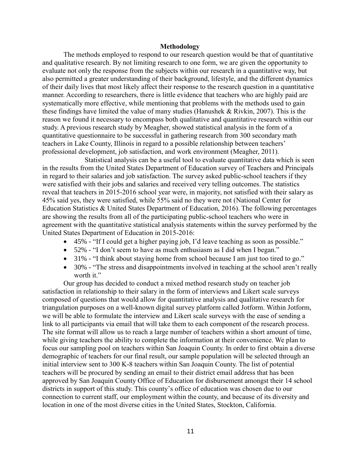### **Methodology**

The methods employed to respond to our research question would be that of quantitative and qualitative research. By not limiting research to one form, we are given the opportunity to evaluate not only the response from the subjects within our research in a quantitative way, but also permitted a greater understanding of their background, lifestyle, and the different dynamics of their daily lives that most likely affect their response to the research question in a quantitative manner. According to researchers, there is little evidence that teachers who are highly paid are systematically more effective, while mentioning that problems with the methods used to gain these findings have limited the value of many studies (Hanushek & Rivkin, 2007). This is the reason we found it necessary to encompass both qualitative and quantitative research within our study. A previous research study by Meagher, showed statistical analysis in the form of a quantitative questionnaire to be successful in gathering research from 300 secondary math teachers in Lake County, Illinois in regard to a possible relationship between teachers' professional development, job satisfaction, and work environment (Meagher, 2011).

Statistical analysis can be a useful tool to evaluate quantitative data which is seen in the results from the United States Department of Education survey of Teachers and Principals in regard to their salaries and job satisfaction. The survey asked public-school teachers if they were satisfied with their jobs and salaries and received very telling outcomes. The statistics reveal that teachers in 2015-2016 school year were, in majority, not satisfied with their salary as 45% said yes, they were satisfied, while 55% said no they were not (National Center for Education Statistics & United States Department of Education, 2016). The following percentages are showing the results from all of the participating public-school teachers who were in agreement with the quantitative statistical analysis statements within the survey performed by the United States Department of Education in 2015-2016:

- 45% "If I could get a higher paying job, I'd leave teaching as soon as possible."
- 52% "I don't seem to have as much enthusiasm as I did when I began."
- 31% "I think about staying home from school because I am just too tired to go."
- 30% "The stress and disappointments involved in teaching at the school aren't really worth it."

Our group has decided to conduct a mixed method research study on teacher job satisfaction in relationship to their salary in the form of interviews and Likert scale surveys composed of questions that would allow for quantitative analysis and qualitative research for triangulation purposes on a well-known digital survey platform called Jotform. Within Jotform, we will be able to formulate the interview and Likert scale surveys with the ease of sending a link to all participants via email that will take them to each component of the research process. The site format will allow us to reach a large number of teachers within a short amount of time, while giving teachers the ability to complete the information at their convenience. We plan to focus our sampling pool on teachers within San Joaquin County. In order to first obtain a diverse demographic of teachers for our final result, our sample population will be selected through an initial interview sent to 300 K-8 teachers within San Joaquin County. The list of potential teachers will be procured by sending an email to their district email address that has been approved by San Joaquin County Office of Education for disbursement amongst their 14 school districts in support of this study. This county's office of education was chosen due to our connection to current staff, our employment within the county, and because of its diversity and location in one of the most diverse cities in the United States, Stockton, California.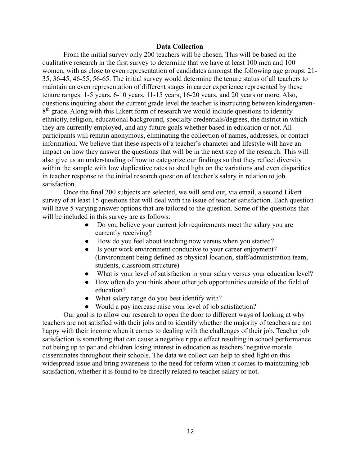# **Data Collection**

From the initial survey only 200 teachers will be chosen. This will be based on the qualitative research in the first survey to determine that we have at least 100 men and 100 women, with as close to even representation of candidates amongst the following age groups: 21- 35, 36-45, 46-55, 56-65. The initial survey would determine the tenure status of all teachers to maintain an even representation of different stages in career experience represented by these tenure ranges: 1-5 years, 6-10 years, 11-15 years, 16-20 years, and 20 years or more. Also, questions inquiring about the current grade level the teacher is instructing between kindergarten-8<sup>th</sup> grade. Along with this Likert form of research we would include questions to identify ethnicity, religion, educational background, specialty credentials/degrees, the district in which they are currently employed, and any future goals whether based in education or not. All participants will remain anonymous, eliminating the collection of names, addresses, or contact information. We believe that these aspects of a teacher's character and lifestyle will have an impact on how they answer the questions that will be in the next step of the research. This will also give us an understanding of how to categorize our findings so that they reflect diversity within the sample with low duplicative rates to shed light on the variations and even disparities in teacher response to the initial research question of teacher's salary in relation to job satisfaction.

Once the final 200 subjects are selected, we will send out, via email, a second Likert survey of at least 15 questions that will deal with the issue of teacher satisfaction. Each question will have 5 varying answer options that are tailored to the question. Some of the questions that will be included in this survey are as follows:

- Do you believe your current job requirements meet the salary you are currently receiving?
- How do you feel about teaching now versus when you started?
- Is your work environment conducive to your career enjoyment? (Environment being defined as physical location, staff/administration team, students, classroom structure)
- What is your level of satisfaction in your salary versus your education level?
- How often do you think about other job opportunities outside of the field of education?
- What salary range do you best identify with?
- Would a pay increase raise your level of job satisfaction?

Our goal is to allow our research to open the door to different ways of looking at why teachers are not satisfied with their jobs and to identify whether the majority of teachers are not happy with their income when it comes to dealing with the challenges of their job. Teacher job satisfaction is something that can cause a negative ripple effect resulting in school performance not being up to par and children losing interest in education as teachers' negative morale disseminates throughout their schools. The data we collect can help to shed light on this widespread issue and bring awareness to the need for reform when it comes to maintaining job satisfaction, whether it is found to be directly related to teacher salary or not.